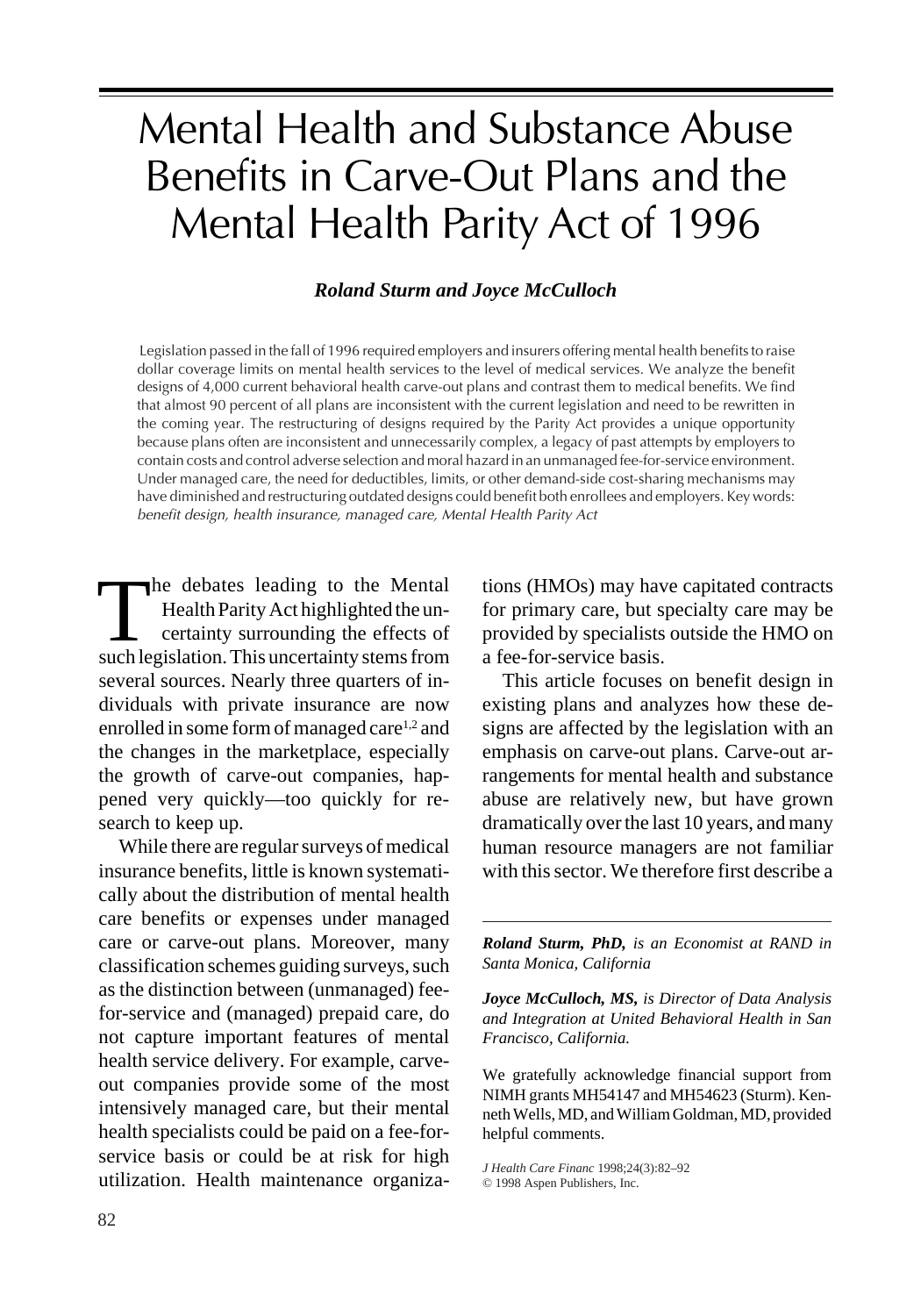# Mental Health and Substance Abuse Benefits in Carve-Out Plans and the Mental Health Parity Act of 1996

## *Roland Sturm and Joyce McCulloch*

 Legislation passed in the fall of 1996 required employers and insurers offering mental health benefits to raise dollar coverage limits on mental health services to the level of medical services. We analyze the benefit designs of 4,000 current behavioral health carve-out plans and contrast them to medical benefits. We find that almost 90 percent of all plans are inconsistent with the current legislation and need to be rewritten in the coming year. The restructuring of designs required by the Parity Act provides a unique opportunity because plans often are inconsistent and unnecessarily complex, a legacy of past attempts by employers to contain costs and control adverse selection and moral hazard in an unmanaged fee-for-service environment. Under managed care, the need for deductibles, limits, or other demand-side cost-sharing mechanisms may have diminished and restructuring outdated designs could benefit both enrollees and employers. Key words: benefit design, health insurance, managed care, Mental Health Parity Act

The debates leading to the Mental<br>Health Parity Act highlighted the uncertainty surrounding the effects of<br>such legislation. This uncertainty stems from he debates leading to the Mental Health Parity Act highlighted the uncertainty surrounding the effects of several sources. Nearly three quarters of individuals with private insurance are now enrolled in some form of managed care<sup>1,2</sup> and the changes in the marketplace, especially the growth of carve-out companies, happened very quickly—too quickly for research to keep up.

82 JOURNAL OF HEALTH CARE FINANCE/SPRING 1998

While there are regular surveys of medical insurance benefits, little is known systematically about the distribution of mental health care benefits or expenses under managed care or carve-out plans. Moreover, many classification schemes guiding surveys, such as the distinction between (unmanaged) feefor-service and (managed) prepaid care, do not capture important features of mental health service delivery. For example, carveout companies provide some of the most intensively managed care, but their mental health specialists could be paid on a fee-forservice basis or could be at risk for high utilization. Health maintenance organizations (HMOs) may have capitated contracts for primary care, but specialty care may be provided by specialists outside the HMO on a fee-for-service basis.

This article focuses on benefit design in existing plans and analyzes how these designs are affected by the legislation with an emphasis on carve-out plans. Carve-out arrangements for mental health and substance abuse are relatively new, but have grown dramatically over the last 10 years, and many human resource managers are not familiar with this sector. We therefore first describe a

*Roland Sturm, PhD, is an Economist at RAND in Santa Monica, California*

*Joyce McCulloch, MS, is Director of Data Analysis and Integration at United Behavioral Health in San Francisco, California.*

We gratefully acknowledge financial support from NIMH grants MH54147 and MH54623 (Sturm). Kenneth Wells, MD, and William Goldman, MD, provided helpful comments.

*J Health Care Financ* 1998;24(3):82–92 © 1998 Aspen Publishers, Inc.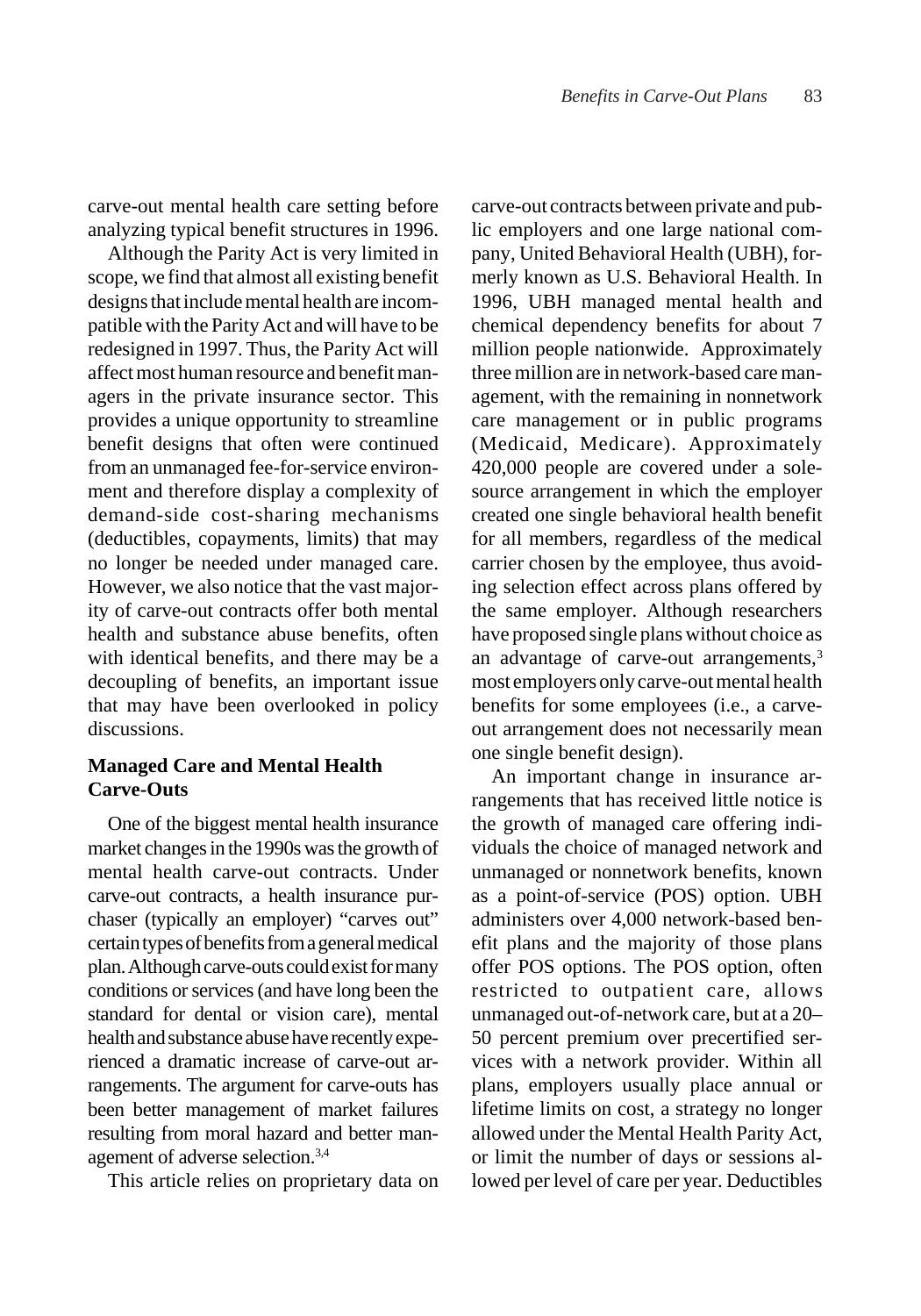carve-out mental health care setting before analyzing typical benefit structures in 1996.

Although the Parity Act is very limited in scope, we find that almost all existing benefit designs that include mental health are incompatible with the Parity Act and will have to be redesigned in 1997. Thus, the Parity Act will affect most human resource and benefit managers in the private insurance sector. This provides a unique opportunity to streamline benefit designs that often were continued from an unmanaged fee-for-service environment and therefore display a complexity of demand-side cost-sharing mechanisms (deductibles, copayments, limits) that may no longer be needed under managed care. However, we also notice that the vast majority of carve-out contracts offer both mental health and substance abuse benefits, often with identical benefits, and there may be a decoupling of benefits, an important issue that may have been overlooked in policy discussions.

# **Managed Care and Mental Health Carve-Outs**

One of the biggest mental health insurance market changes in the 1990s was the growth of mental health carve-out contracts. Under carve-out contracts, a health insurance purchaser (typically an employer) "carves out" certain types of benefits from a general medical plan. Although carve-outs could exist for many conditions or services (and have long been the standard for dental or vision care), mental health and substance abuse have recently experienced a dramatic increase of carve-out arrangements. The argument for carve-outs has been better management of market failures resulting from moral hazard and better management of adverse selection.3,4

This article relies on proprietary data on

carve-out contracts between private and public employers and one large national company, United Behavioral Health (UBH), formerly known as U.S. Behavioral Health. In 1996, UBH managed mental health and chemical dependency benefits for about 7 million people nationwide. Approximately three million are in network-based care management, with the remaining in nonnetwork care management or in public programs (Medicaid, Medicare). Approximately 420,000 people are covered under a solesource arrangement in which the employer created one single behavioral health benefit for all members, regardless of the medical carrier chosen by the employee, thus avoiding selection effect across plans offered by the same employer. Although researchers have proposed single plans without choice as an advantage of carve-out arrangements,<sup>3</sup> most employers only carve-out mental health benefits for some employees (i.e., a carveout arrangement does not necessarily mean one single benefit design).

An important change in insurance arrangements that has received little notice is the growth of managed care offering individuals the choice of managed network and unmanaged or nonnetwork benefits, known as a point-of-service (POS) option. UBH administers over 4,000 network-based benefit plans and the majority of those plans offer POS options. The POS option, often restricted to outpatient care, allows unmanaged out-of-network care, but at a 20– 50 percent premium over precertified services with a network provider. Within all plans, employers usually place annual or lifetime limits on cost, a strategy no longer allowed under the Mental Health Parity Act, or limit the number of days or sessions allowed per level of care per year. Deductibles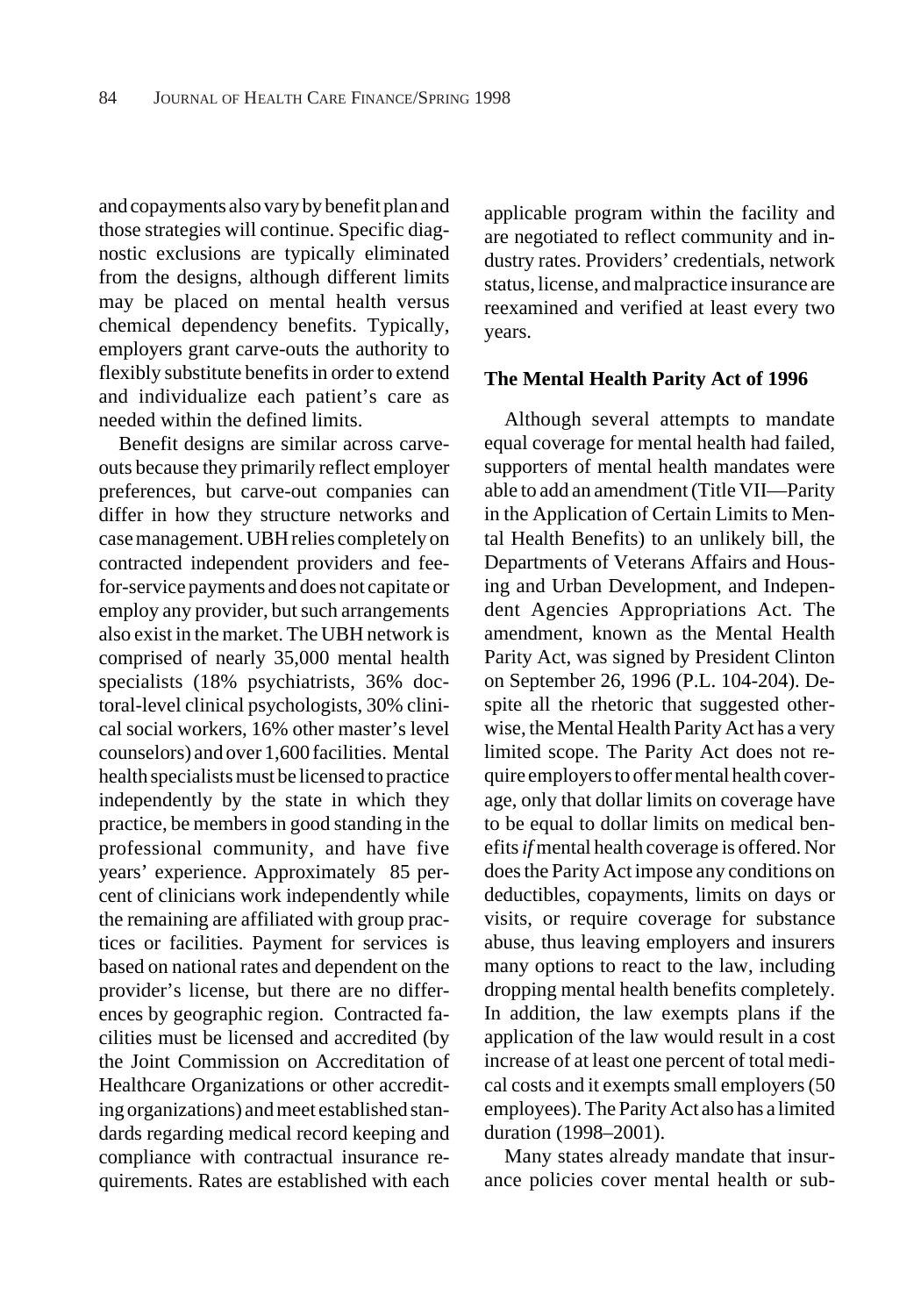and copayments also vary by benefit plan and those strategies will continue. Specific diagnostic exclusions are typically eliminated from the designs, although different limits may be placed on mental health versus chemical dependency benefits. Typically, employers grant carve-outs the authority to flexibly substitute benefits in order to extend and individualize each patient's care as needed within the defined limits.

Benefit designs are similar across carveouts because they primarily reflect employer preferences, but carve-out companies can differ in how they structure networks and case management. UBH relies completely on contracted independent providers and feefor-service payments and does not capitate or employ any provider, but such arrangements also exist in the market. The UBH network is comprised of nearly 35,000 mental health specialists (18% psychiatrists, 36% doctoral-level clinical psychologists, 30% clinical social workers, 16% other master's level counselors) and over 1,600 facilities. Mental health specialists must be licensed to practice independently by the state in which they practice, be members in good standing in the professional community, and have five years' experience. Approximately 85 percent of clinicians work independently while the remaining are affiliated with group practices or facilities. Payment for services is based on national rates and dependent on the provider's license, but there are no differences by geographic region. Contracted facilities must be licensed and accredited (by the Joint Commission on Accreditation of Healthcare Organizations or other accrediting organizations) and meet established standards regarding medical record keeping and compliance with contractual insurance requirements. Rates are established with each

applicable program within the facility and are negotiated to reflect community and industry rates. Providers' credentials, network status, license, and malpractice insurance are reexamined and verified at least every two years.

#### **The Mental Health Parity Act of 1996**

Although several attempts to mandate equal coverage for mental health had failed, supporters of mental health mandates were able to add an amendment (Title VII—Parity in the Application of Certain Limits to Mental Health Benefits) to an unlikely bill, the Departments of Veterans Affairs and Housing and Urban Development, and Independent Agencies Appropriations Act. The amendment, known as the Mental Health Parity Act, was signed by President Clinton on September 26, 1996 (P.L. 104-204). Despite all the rhetoric that suggested otherwise, the Mental Health Parity Act has a very limited scope. The Parity Act does not require employers to offer mental health coverage, only that dollar limits on coverage have to be equal to dollar limits on medical benefits *if* mental health coverage is offered. Nor does the Parity Act impose any conditions on deductibles, copayments, limits on days or visits, or require coverage for substance abuse, thus leaving employers and insurers many options to react to the law, including dropping mental health benefits completely. In addition, the law exempts plans if the application of the law would result in a cost increase of at least one percent of total medical costs and it exempts small employers (50 employees). The Parity Act also has a limited duration (1998–2001).

Many states already mandate that insurance policies cover mental health or sub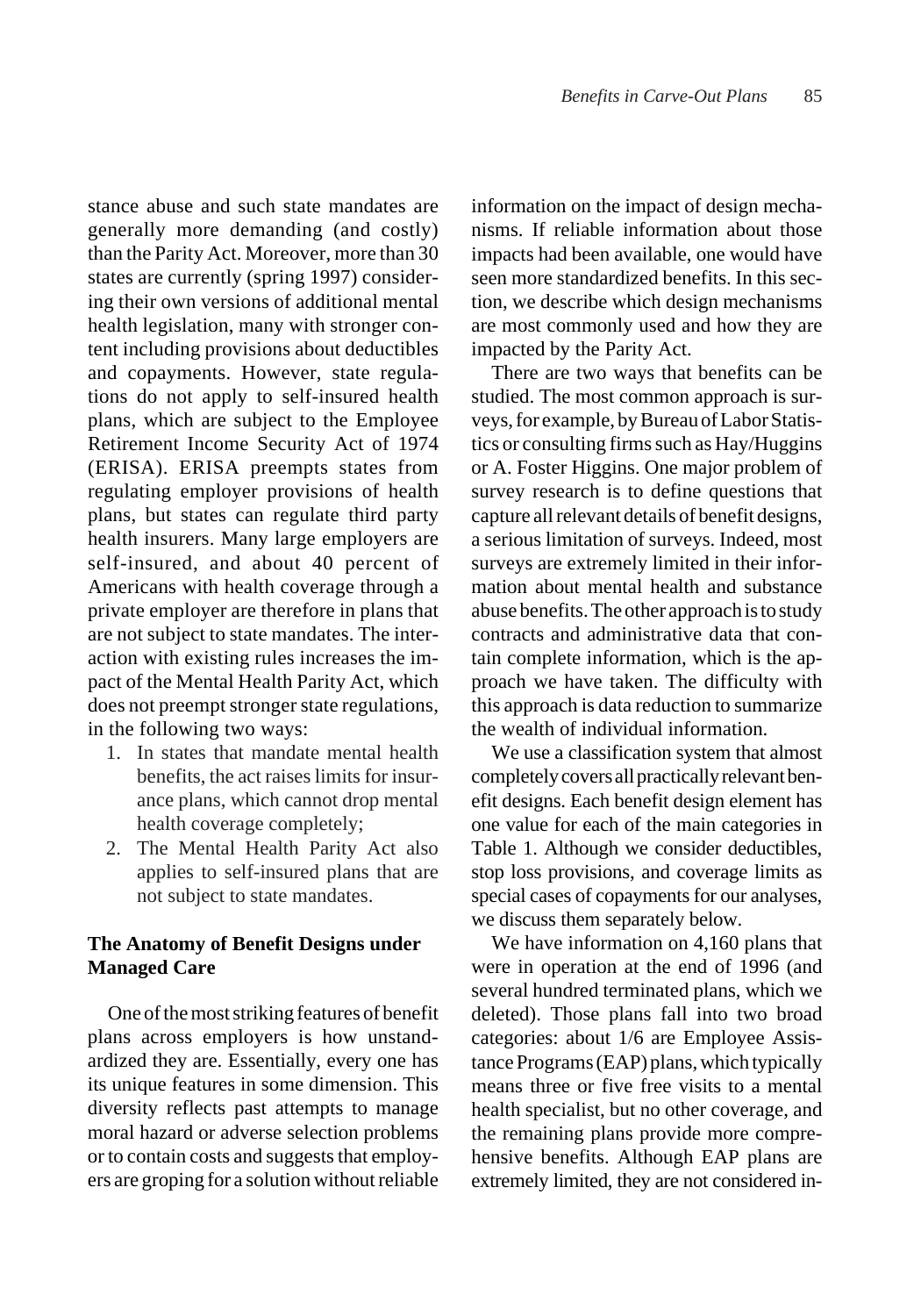stance abuse and such state mandates are generally more demanding (and costly) than the Parity Act. Moreover, more than 30 states are currently (spring 1997) considering their own versions of additional mental health legislation, many with stronger content including provisions about deductibles and copayments. However, state regulations do not apply to self-insured health plans, which are subject to the Employee Retirement Income Security Act of 1974 (ERISA). ERISA preempts states from regulating employer provisions of health plans, but states can regulate third party health insurers. Many large employers are self-insured, and about 40 percent of Americans with health coverage through a private employer are therefore in plans that are not subject to state mandates. The interaction with existing rules increases the impact of the Mental Health Parity Act, which does not preempt stronger state regulations, in the following two ways:

- 1. In states that mandate mental health benefits, the act raises limits for insurance plans, which cannot drop mental health coverage completely;
- 2. The Mental Health Parity Act also applies to self-insured plans that are not subject to state mandates.

# **The Anatomy of Benefit Designs under Managed Care**

One of the most striking features of benefit plans across employers is how unstandardized they are. Essentially, every one has its unique features in some dimension. This diversity reflects past attempts to manage moral hazard or adverse selection problems or to contain costs and suggests that employers are groping for a solution without reliable

information on the impact of design mechanisms. If reliable information about those impacts had been available, one would have seen more standardized benefits. In this section, we describe which design mechanisms are most commonly used and how they are impacted by the Parity Act.

There are two ways that benefits can be studied. The most common approach is surveys, for example, by Bureau of Labor Statistics or consulting firms such as Hay/Huggins or A. Foster Higgins. One major problem of survey research is to define questions that capture all relevant details of benefit designs, a serious limitation of surveys. Indeed, most surveys are extremely limited in their information about mental health and substance abuse benefits. The other approach is to study contracts and administrative data that contain complete information, which is the approach we have taken. The difficulty with this approach is data reduction to summarize the wealth of individual information.

We use a classification system that almost completely covers all practically relevant benefit designs. Each benefit design element has one value for each of the main categories in Table 1. Although we consider deductibles, stop loss provisions, and coverage limits as special cases of copayments for our analyses, we discuss them separately below.

We have information on 4,160 plans that were in operation at the end of 1996 (and several hundred terminated plans, which we deleted). Those plans fall into two broad categories: about 1/6 are Employee Assistance Programs (EAP) plans, which typically means three or five free visits to a mental health specialist, but no other coverage, and the remaining plans provide more comprehensive benefits. Although EAP plans are extremely limited, they are not considered in-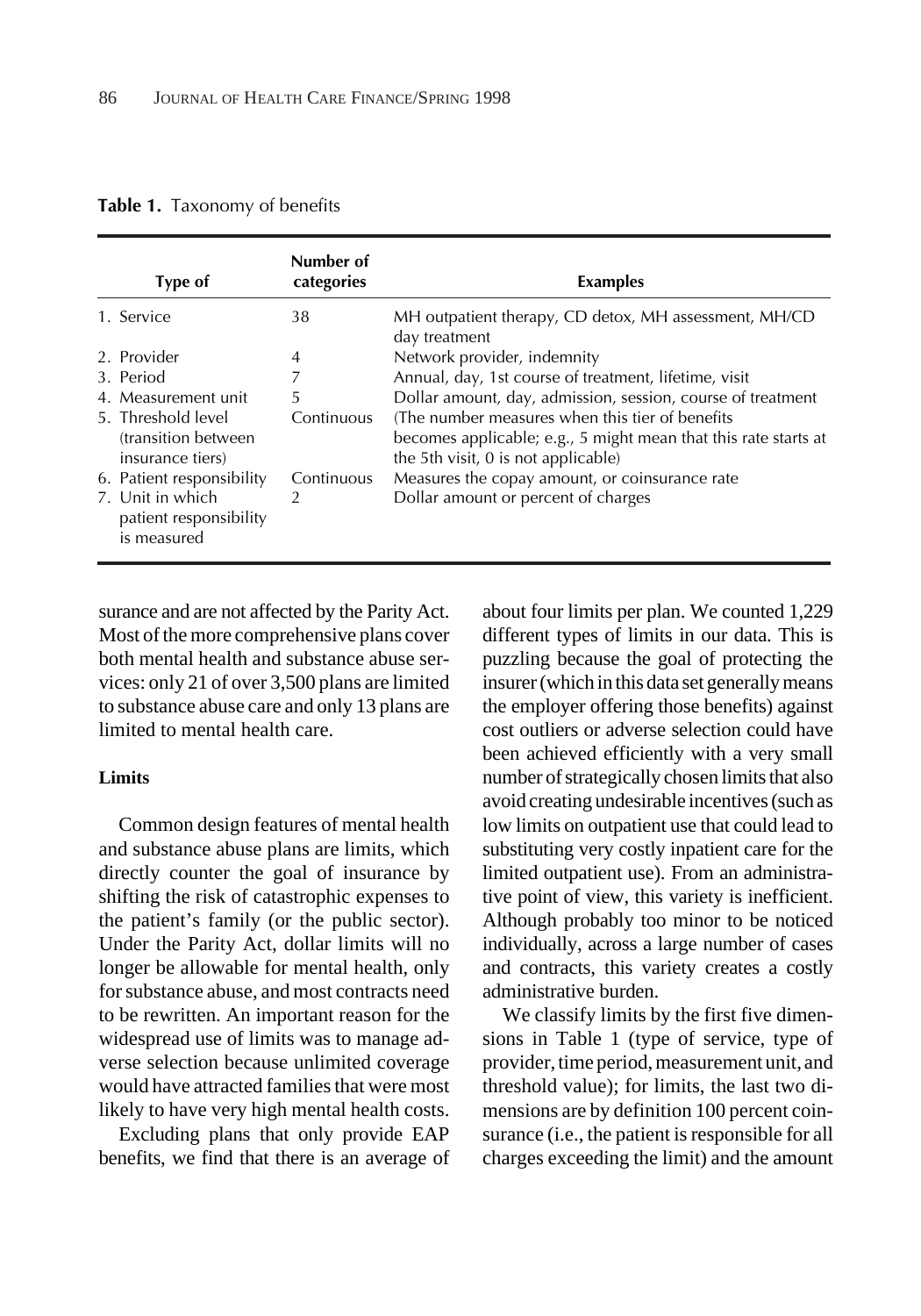**Table 1.** Taxonomy of benefits

| Type of                                                        | Number of<br>categories | <b>Examples</b>                                                                                                                                            |
|----------------------------------------------------------------|-------------------------|------------------------------------------------------------------------------------------------------------------------------------------------------------|
| 1. Service                                                     | 38                      | MH outpatient therapy, CD detox, MH assessment, MH/CD<br>day treatment                                                                                     |
| 2. Provider                                                    | 4                       | Network provider, indemnity                                                                                                                                |
| 3. Period                                                      | 7                       | Annual, day, 1st course of treatment, lifetime, visit                                                                                                      |
| 4. Measurement unit                                            | 5                       | Dollar amount, day, admission, session, course of treatment                                                                                                |
| 5. Threshold level<br>(transition between)<br>insurance tiers) | Continuous              | (The number measures when this tier of benefits)<br>becomes applicable; e.g., 5 might mean that this rate starts at<br>the 5th visit, 0 is not applicable) |
| 6. Patient responsibility                                      | Continuous              | Measures the copay amount, or coinsurance rate                                                                                                             |
| 7. Unit in which<br>patient responsibility<br>is measured      | 2                       | Dollar amount or percent of charges                                                                                                                        |

surance and are not affected by the Parity Act. Most of the more comprehensive plans cover both mental health and substance abuse services: only 21 of over 3,500 plans are limited to substance abuse care and only 13 plans are limited to mental health care.

## **Limits**

Common design features of mental health and substance abuse plans are limits, which directly counter the goal of insurance by shifting the risk of catastrophic expenses to the patient's family (or the public sector). Under the Parity Act, dollar limits will no longer be allowable for mental health, only for substance abuse, and most contracts need to be rewritten. An important reason for the widespread use of limits was to manage adverse selection because unlimited coverage would have attracted families that were most likely to have very high mental health costs.

Excluding plans that only provide EAP benefits, we find that there is an average of about four limits per plan. We counted 1,229 different types of limits in our data. This is puzzling because the goal of protecting the insurer (which in this data set generally means the employer offering those benefits) against cost outliers or adverse selection could have been achieved efficiently with a very small number of strategically chosen limits that also avoid creating undesirable incentives (such as low limits on outpatient use that could lead to substituting very costly inpatient care for the limited outpatient use). From an administrative point of view, this variety is inefficient. Although probably too minor to be noticed individually, across a large number of cases and contracts, this variety creates a costly administrative burden.

We classify limits by the first five dimensions in Table 1 (type of service, type of provider, time period, measurement unit, and threshold value); for limits, the last two dimensions are by definition 100 percent coinsurance (i.e., the patient is responsible for all charges exceeding the limit) and the amount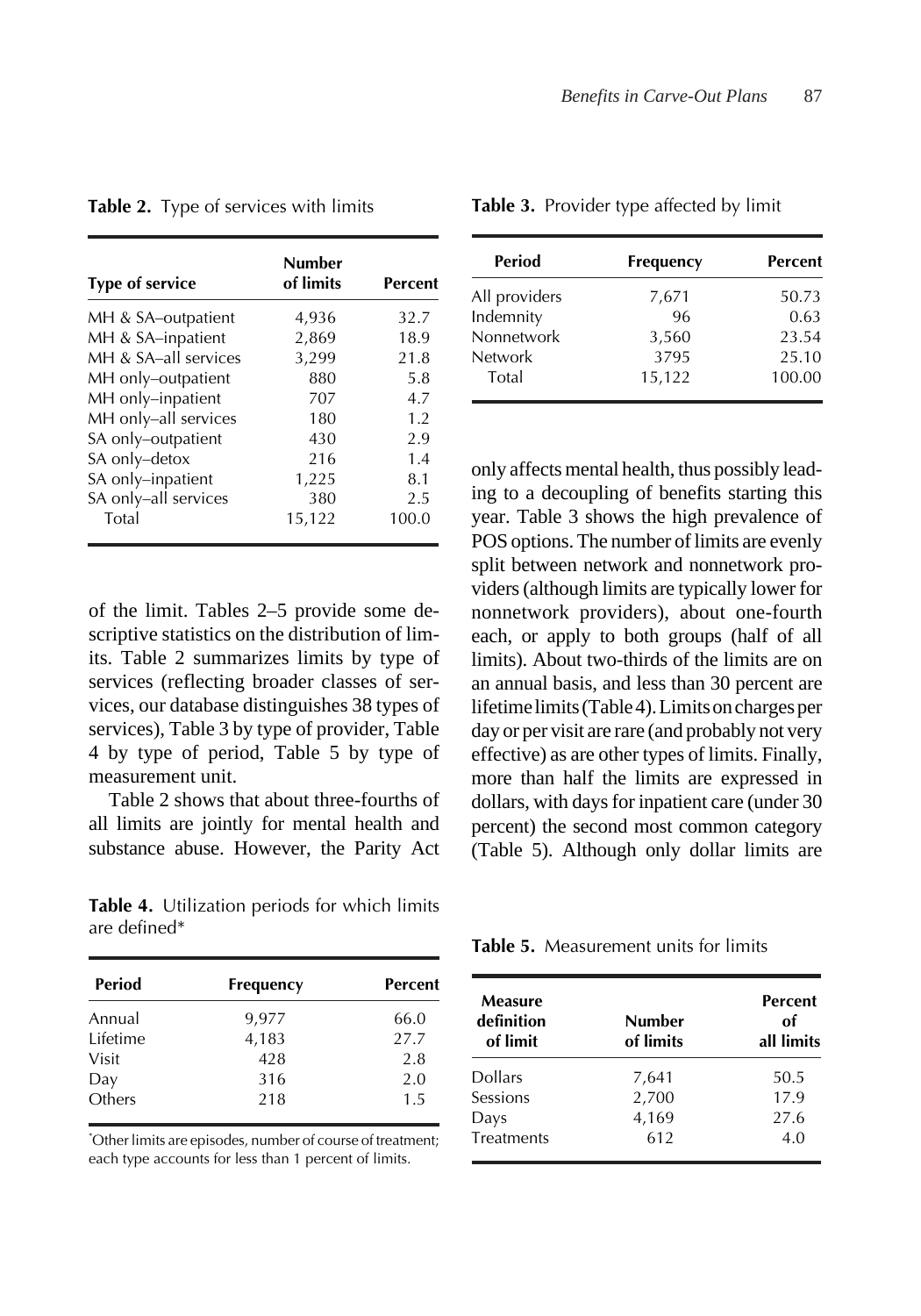| <b>Type of service</b> | Number<br>of limits | Percent |
|------------------------|---------------------|---------|
| MH & SA-outpatient     | 4,936               | 32.7    |
| MH & SA-inpatient      | 2,869               | 18.9    |
| MH & SA-all services   | 3,299               | 21.8    |
| MH only-outpatient     | 880                 | 5.8     |
| MH only-inpatient      | 707                 | 4.7     |
| MH only-all services   | 180                 | 1.2     |
| SA only-outpatient     | 430                 | 2.9     |
| SA only-detox          | 216                 | 1.4     |
| SA only-inpatient      | 1,225               | 8.1     |
| SA only-all services   | 380                 | 2.5     |
| Total                  | 15,122              | 100.0   |

**Table 2.** Type of services with limits

of the limit. Tables 2–5 provide some descriptive statistics on the distribution of limits. Table 2 summarizes limits by type of services (reflecting broader classes of services, our database distinguishes 38 types of services), Table 3 by type of provider, Table 4 by type of period, Table 5 by type of measurement unit.

Table 2 shows that about three-fourths of all limits are jointly for mental health and substance abuse. However, the Parity Act

**Table 4.** Utilization periods for which limits are defined\*

| Percent<br><b>Frequency</b> |
|-----------------------------|
| 66.0                        |
| 27.7                        |
| 2.8                         |
| 2.0                         |
| 1.5                         |
|                             |

\* Other limits are episodes, number of course of treatment; each type accounts for less than 1 percent of limits.

| <b>Period</b> | <b>Frequency</b> | <b>Percent</b> |
|---------------|------------------|----------------|
| All providers | 7,671            | 50.73          |
| Indemnity     | 96               | 0.63           |
| Nonnetwork    | 3,560            | 23.54          |
| Network       | 3795             | 25.10          |
| Total         | 15,122           | 100.00         |

**Table 3.** Provider type affected by limit

only affects mental health, thus possibly leading to a decoupling of benefits starting this year. Table 3 shows the high prevalence of POS options. The number of limits are evenly split between network and nonnetwork providers (although limits are typically lower for nonnetwork providers), about one-fourth each, or apply to both groups (half of all limits). About two-thirds of the limits are on an annual basis, and less than 30 percent are lifetime limits (Table 4). Limits on charges per day or per visit are rare (and probably not very effective) as are other types of limits. Finally, more than half the limits are expressed in dollars, with days for inpatient care (under 30 percent) the second most common category (Table 5). Although only dollar limits are

**Table 5.** Measurement units for limits

| Measure<br>definition<br>of limit | Number<br>of limits | <b>Percent</b><br>оf<br>all limits |  |
|-----------------------------------|---------------------|------------------------------------|--|
| <b>Dollars</b>                    | 7,641               | 50.5                               |  |
| Sessions                          | 2,700               | 17.9                               |  |
| Days                              | 4,169               | 27.6                               |  |
| Treatments                        | 612                 | 4.0                                |  |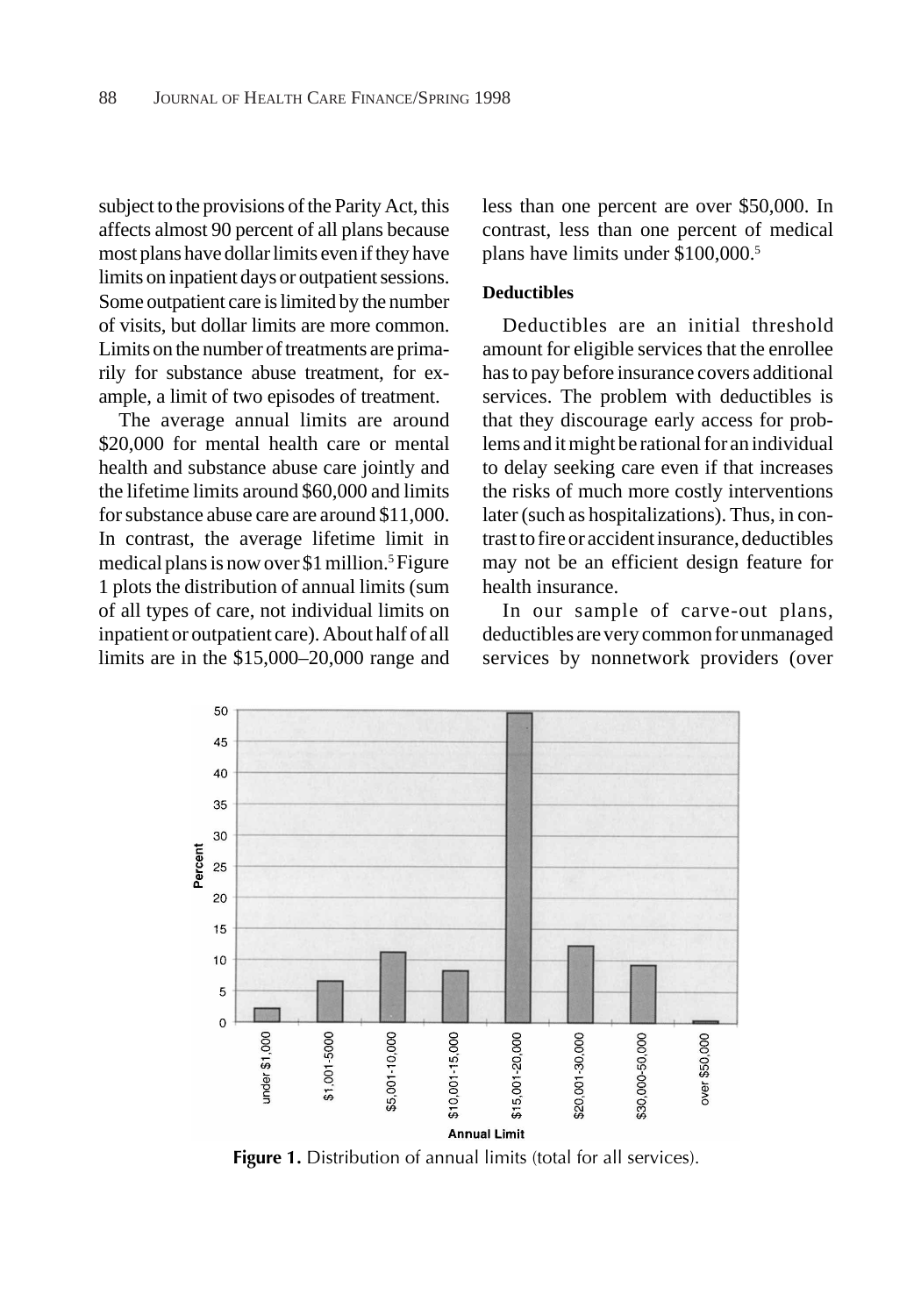subject to the provisions of the Parity Act, this affects almost 90 percent of all plans because most plans have dollar limits even if they have limits on inpatient days or outpatient sessions. Some outpatient care is limited by the number of visits, but dollar limits are more common. Limits on the number of treatments are primarily for substance abuse treatment, for example, a limit of two episodes of treatment.

The average annual limits are around \$20,000 for mental health care or mental health and substance abuse care jointly and the lifetime limits around \$60,000 and limits for substance abuse care are around \$11,000. In contrast, the average lifetime limit in medical plans is now over \$1 million.5 Figure 1 plots the distribution of annual limits (sum of all types of care, not individual limits on inpatient or outpatient care). About half of all limits are in the \$15,000–20,000 range and less than one percent are over \$50,000. In contrast, less than one percent of medical plans have limits under \$100,000.5

#### **Deductibles**

Deductibles are an initial threshold amount for eligible services that the enrollee has to pay before insurance covers additional services. The problem with deductibles is that they discourage early access for problems and it might be rational for an individual to delay seeking care even if that increases the risks of much more costly interventions later (such as hospitalizations). Thus, in contrast to fire or accident insurance, deductibles may not be an efficient design feature for health insurance.

In our sample of carve-out plans, deductibles are very common for unmanaged services by nonnetwork providers (over



**Figure 1.** Distribution of annual limits (total for all services).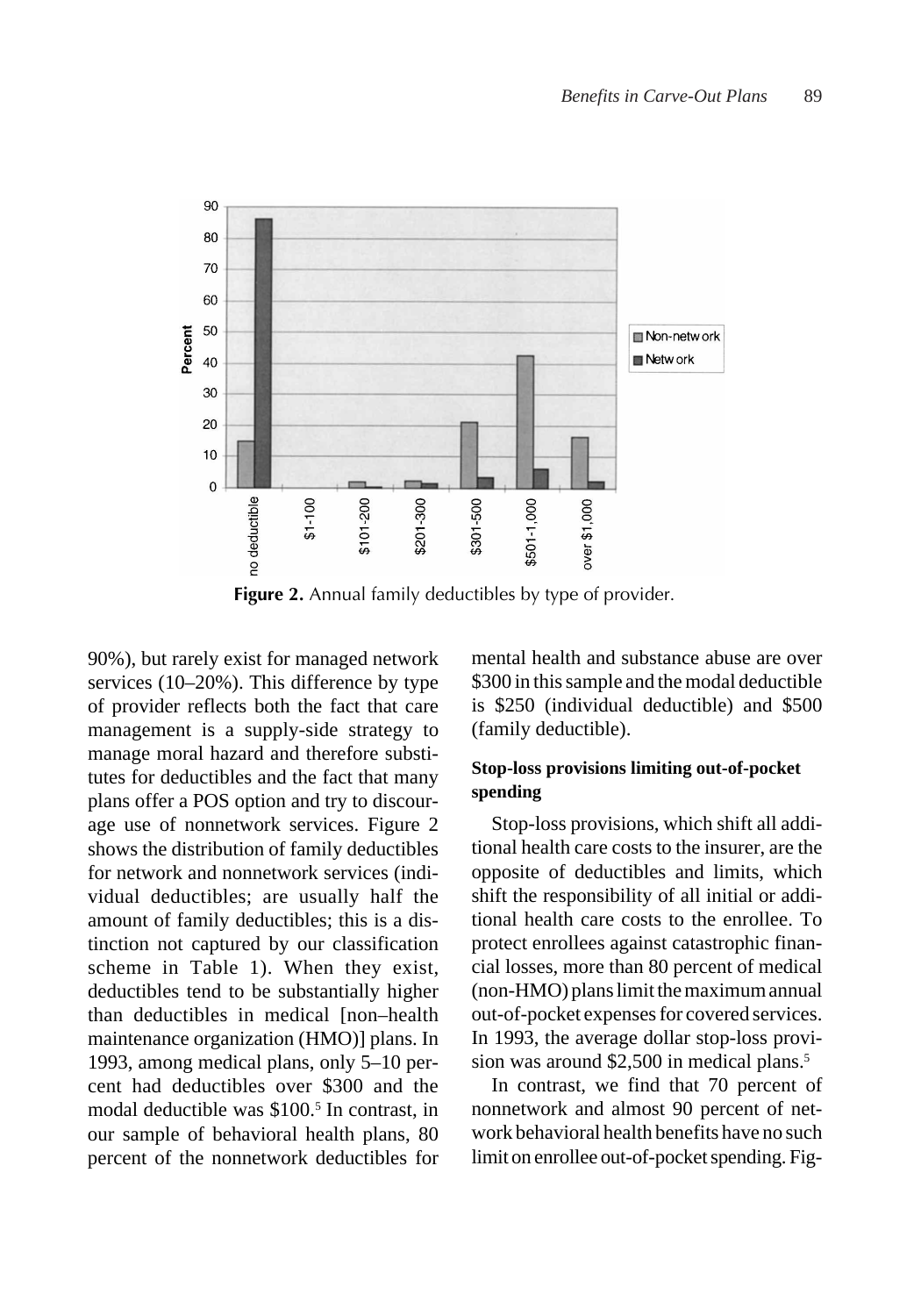

**Figure 2.** Annual family deductibles by type of provider.

90%), but rarely exist for managed network services (10–20%). This difference by type of provider reflects both the fact that care management is a supply-side strategy to manage moral hazard and therefore substitutes for deductibles and the fact that many plans offer a POS option and try to discourage use of nonnetwork services. Figure 2 shows the distribution of family deductibles for network and nonnetwork services (individual deductibles; are usually half the amount of family deductibles; this is a distinction not captured by our classification scheme in Table 1). When they exist, deductibles tend to be substantially higher than deductibles in medical [non–health maintenance organization (HMO)] plans. In 1993, among medical plans, only 5–10 percent had deductibles over \$300 and the modal deductible was \$100.<sup>5</sup> In contrast, in our sample of behavioral health plans, 80 percent of the nonnetwork deductibles for

mental health and substance abuse are over \$300 in this sample and the modal deductible is \$250 (individual deductible) and \$500 (family deductible).

## **Stop-loss provisions limiting out-of-pocket spending**

Stop-loss provisions, which shift all additional health care costs to the insurer, are the opposite of deductibles and limits, which shift the responsibility of all initial or additional health care costs to the enrollee. To protect enrollees against catastrophic financial losses, more than 80 percent of medical (non-HMO) plans limit the maximum annual out-of-pocket expenses for covered services. In 1993, the average dollar stop-loss provision was around \$2,500 in medical plans.<sup>5</sup>

In contrast, we find that 70 percent of nonnetwork and almost 90 percent of network behavioral health benefits have no such limit on enrollee out-of-pocket spending. Fig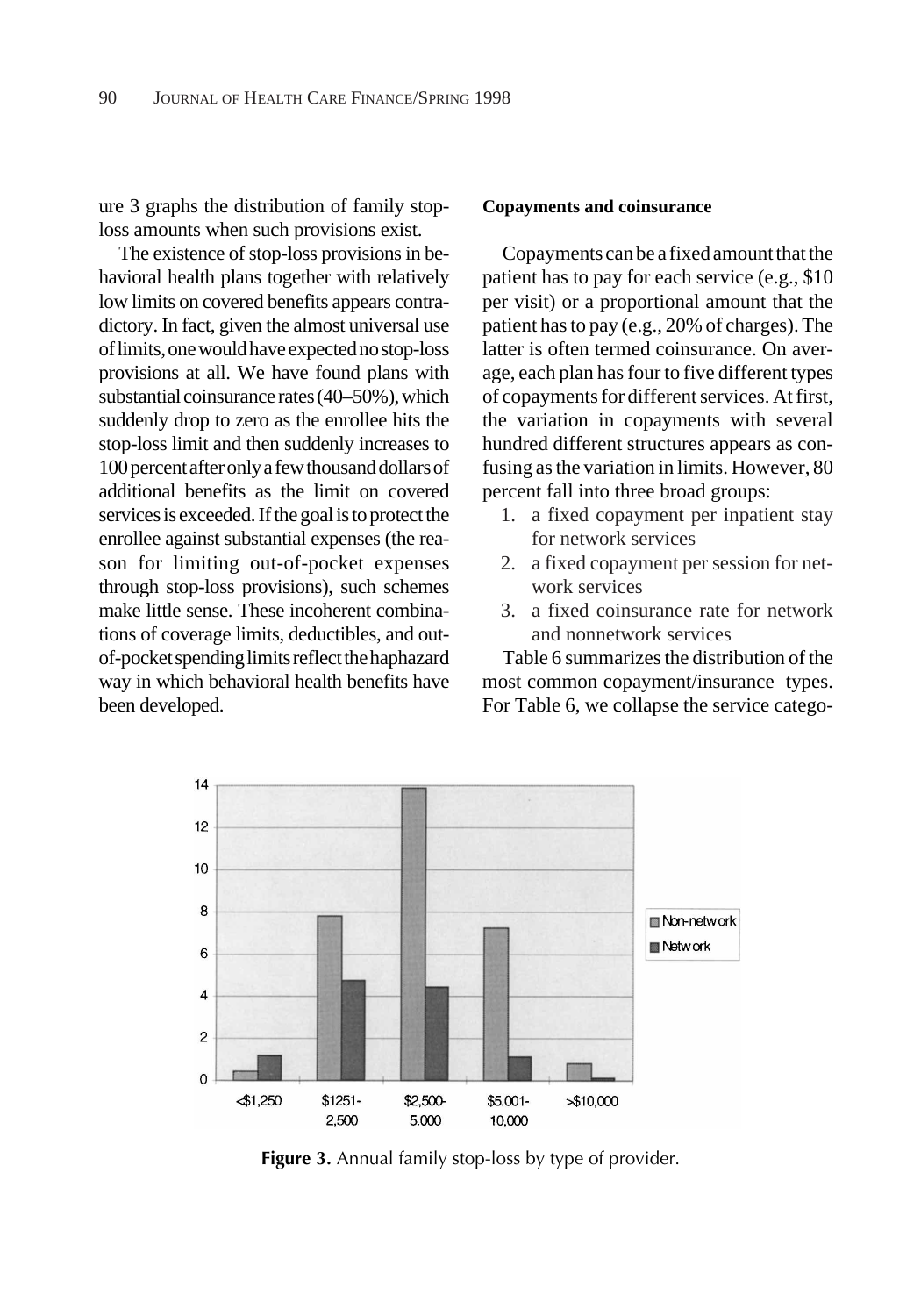ure 3 graphs the distribution of family stoploss amounts when such provisions exist.

The existence of stop-loss provisions in behavioral health plans together with relatively low limits on covered benefits appears contradictory. In fact, given the almost universal use of limits, one would have expected no stop-loss provisions at all. We have found plans with substantial coinsurance rates (40–50%), which suddenly drop to zero as the enrollee hits the stop-loss limit and then suddenly increases to 100 percent after only a few thousand dollars of additional benefits as the limit on covered services is exceeded. If the goal is to protect the enrollee against substantial expenses (the reason for limiting out-of-pocket expenses through stop-loss provisions), such schemes make little sense. These incoherent combinations of coverage limits, deductibles, and outof-pocket spending limits reflect the haphazard way in which behavioral health benefits have been developed.

#### **Copayments and coinsurance**

Copayments can be a fixed amount that the patient has to pay for each service (e.g., \$10 per visit) or a proportional amount that the patient has to pay (e.g., 20% of charges). The latter is often termed coinsurance. On average, each plan has four to five different types of copayments for different services. At first, the variation in copayments with several hundred different structures appears as confusing as the variation in limits. However, 80 percent fall into three broad groups:

- 1. a fixed copayment per inpatient stay for network services
- 2. a fixed copayment per session for network services
- 3. a fixed coinsurance rate for network and nonnetwork services

Table 6 summarizes the distribution of the most common copayment/insurance types. For Table 6, we collapse the service catego-



**Figure 3.** Annual family stop-loss by type of provider.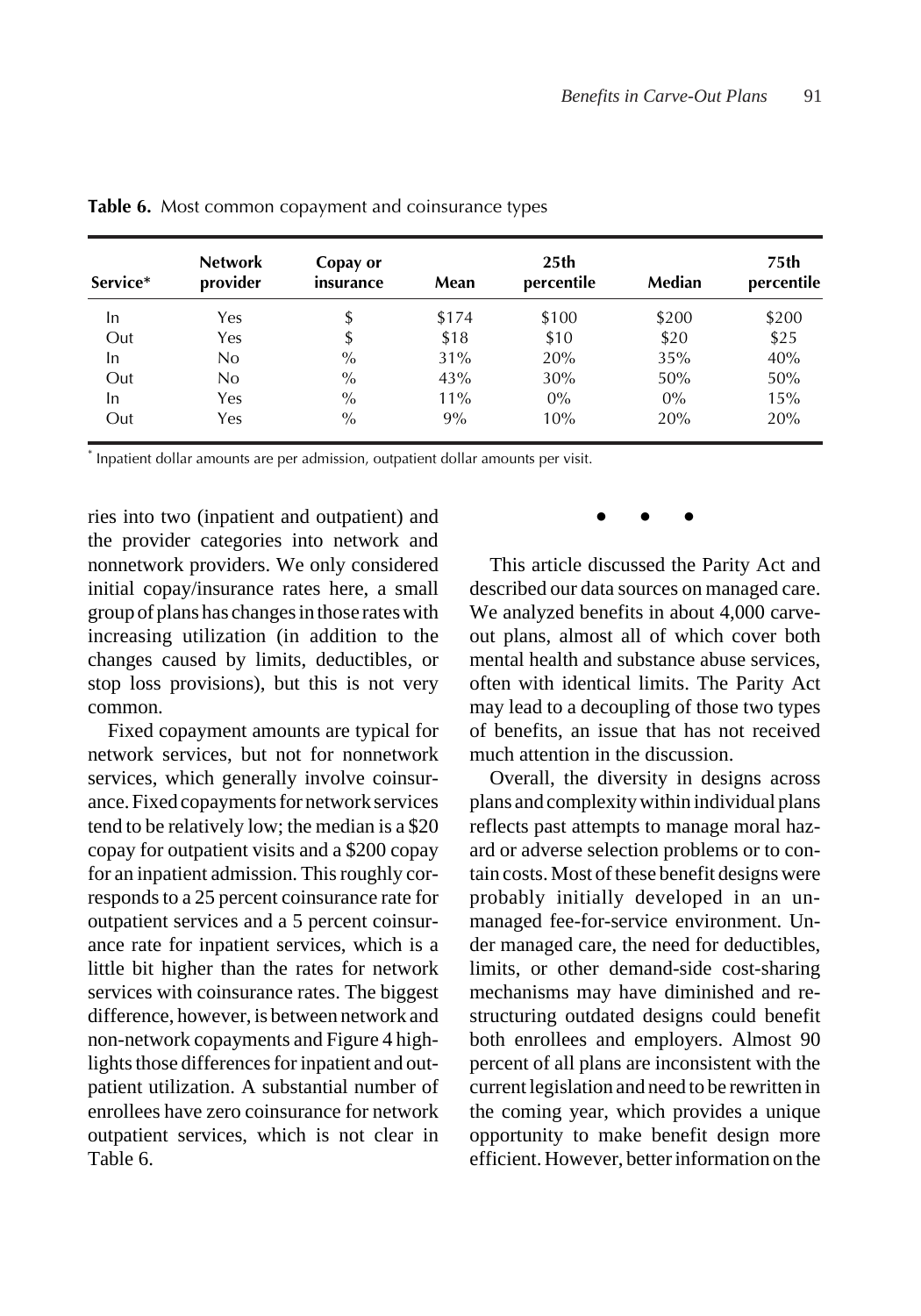| Service* | <b>Network</b><br>provider | Copay or<br>insurance | Mean  | 25 <sub>th</sub><br>percentile | Median | 75th<br>percentile |
|----------|----------------------------|-----------------------|-------|--------------------------------|--------|--------------------|
| In       | Yes                        | \$                    | \$174 | \$100                          | \$200  | \$200              |
| Out      | Yes                        | \$                    | \$18  | \$10                           | \$20   | \$25               |
| In       | No.                        | $\%$                  | 31%   | 20%                            | 35%    | 40%                |
| Out      | No                         | $\%$                  | 43%   | 30%                            | 50%    | 50%                |
| In       | Yes                        | $\%$                  | 11%   | $0\%$                          | $0\%$  | 15%                |
| Out      | Yes                        | $\%$                  | 9%    | 10%                            | 20%    | 20%                |

**Table 6.** Most common copayment and coinsurance types

\* Inpatient dollar amounts are per admission, outpatient dollar amounts per visit.

ries into two (inpatient and outpatient) and the provider categories into network and nonnetwork providers. We only considered initial copay/insurance rates here, a small group of plans has changes in those rates with increasing utilization (in addition to the changes caused by limits, deductibles, or stop loss provisions), but this is not very common.

Fixed copayment amounts are typical for network services, but not for nonnetwork services, which generally involve coinsurance. Fixed copayments for network services tend to be relatively low; the median is a \$20 copay for outpatient visits and a \$200 copay for an inpatient admission. This roughly corresponds to a 25 percent coinsurance rate for outpatient services and a 5 percent coinsurance rate for inpatient services, which is a little bit higher than the rates for network services with coinsurance rates. The biggest difference, however, is between network and non-network copayments and Figure 4 highlights those differences for inpatient and outpatient utilization. A substantial number of enrollees have zero coinsurance for network outpatient services, which is not clear in Table 6.

### ●●●

This article discussed the Parity Act and described our data sources on managed care. We analyzed benefits in about 4,000 carveout plans, almost all of which cover both mental health and substance abuse services, often with identical limits. The Parity Act may lead to a decoupling of those two types of benefits, an issue that has not received much attention in the discussion.

Overall, the diversity in designs across plans and complexity within individual plans reflects past attempts to manage moral hazard or adverse selection problems or to contain costs. Most of these benefit designs were probably initially developed in an unmanaged fee-for-service environment. Under managed care, the need for deductibles, limits, or other demand-side cost-sharing mechanisms may have diminished and restructuring outdated designs could benefit both enrollees and employers. Almost 90 percent of all plans are inconsistent with the current legislation and need to be rewritten in the coming year, which provides a unique opportunity to make benefit design more efficient. However, better information on the